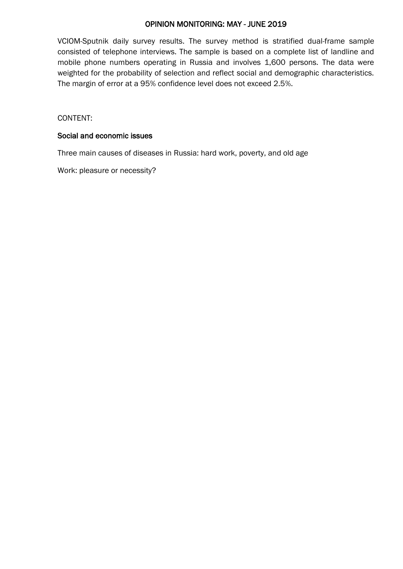# OPINION MONITORING: MAY - JUNE 2019

VCIOM-Sputnik daily survey results. The survey method is stratified dual-frame sample consisted of telephone interviews. The sample is based on a complete list of landline and mobile phone numbers operating in Russia and involves 1,600 persons. The data were weighted for the probability of selection and reflect social and demographic characteristics. The margin of error at a 95% confidence level does not exceed 2.5%.

CONTENT:

### Social and economic issues

Three main causes of diseases in Russia: hard work, poverty, and old age

Work: pleasure or necessity?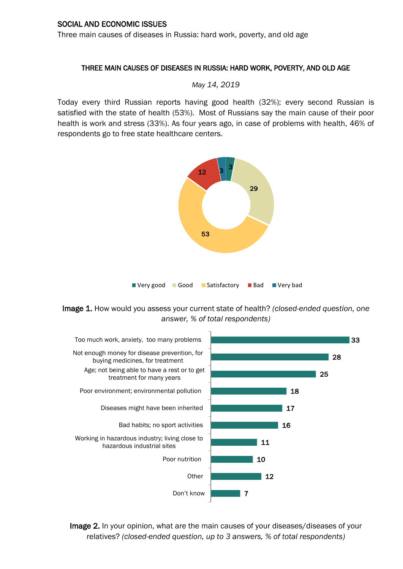Three main causes of diseases in Russia: hard work, poverty, and old age

## THREE MAIN CAUSES OF DISEASES IN RUSSIA: HARD WORK, POVERTY, AND OLD AGE

*May 14, 2019* 

Today every third Russian reports having good health (32%); every second Russian is satisfied with the state of health (53%). Most of Russians say the main cause of their poor health is work and stress (33%). As four years ago, in case of problems with health, 46% of respondents go to free state healthcare centers.



Image 1. How would you assess your current state of health? *(closed-ended question, one answer, % of total respondents)*



Image 2. In your opinion, what are the main causes of your diseases/diseases of your relatives? *(closed-ended question, up to 3 answers, % of total respondents)*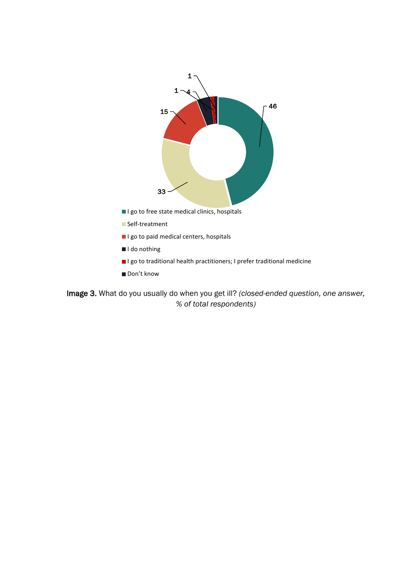

Image 3. What do you usually do when you get ill? *(closed-ended question, one answer, % of total respondents)*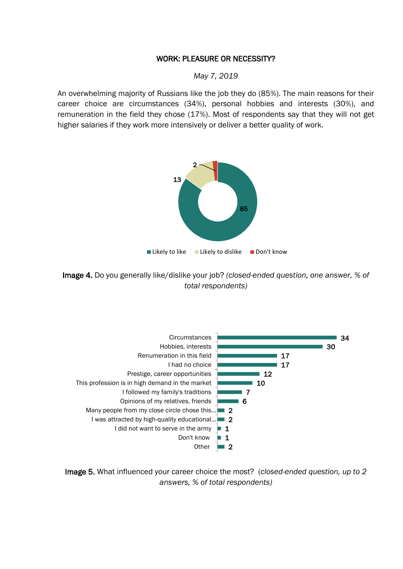# WORK: PLEASURE OR NECESSITY?

#### *May 7, 2019*

An overwhelming majority of Russians like the job they do (85%). The main reasons for their career choice are circumstances (34%), personal hobbies and interests (30%), and remuneration in the field they chose (17%). Most of respondents say that they will not get higher salaries if they work more intensively or deliver a better quality of work.



Image 4. Do you generally like/dislike your job? *(closed-ended question, one answer, % of total respondents)*



Image 5. What influenced your career choice the most? (*closed-ended question, up to 2 answers, % of total respondents)*